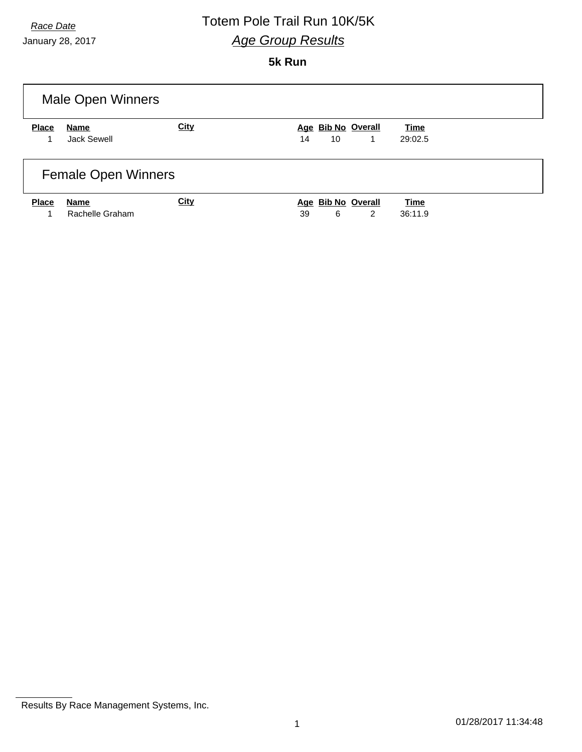January 28, 2017

#### **5k Run**

| Male Open Winners          |                         |             |                                     |                        |  |
|----------------------------|-------------------------|-------------|-------------------------------------|------------------------|--|
| <b>Place</b>               | Name<br>Jack Sewell     | <b>City</b> | Age Bib No Overall<br>14<br>10<br>1 | <b>Time</b><br>29:02.5 |  |
| <b>Female Open Winners</b> |                         |             |                                     |                        |  |
| <b>Place</b><br>1          | Name<br>Rachelle Graham | <b>City</b> | Age Bib No Overall<br>39<br>6<br>2  | <b>Time</b><br>36:11.9 |  |

Results By Race Management Systems, Inc.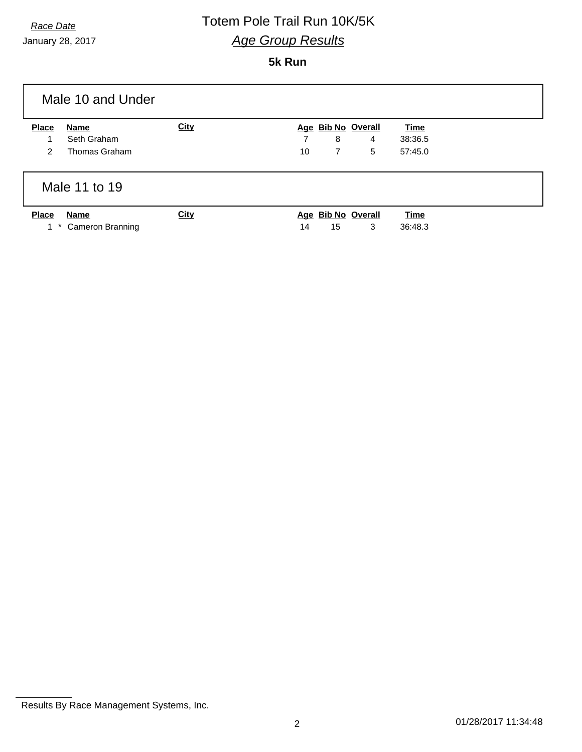January 28, 2017

#### **5k Run**

| Male 10 and Under |                         |             |    |                |                    |             |  |
|-------------------|-------------------------|-------------|----|----------------|--------------------|-------------|--|
| <b>Place</b>      | Name                    | <b>City</b> |    |                | Age Bib No Overall | <b>Time</b> |  |
|                   | Seth Graham             |             | 7  | 8              | 4                  | 38:36.5     |  |
| $\mathcal{P}$     | Thomas Graham           |             | 10 | $\overline{7}$ | 5                  | 57:45.0     |  |
| Male 11 to 19     |                         |             |    |                |                    |             |  |
| <b>Place</b>      | <b>Name</b>             | <b>City</b> |    |                | Age Bib No Overall | <b>Time</b> |  |
| $1*$              | <b>Cameron Branning</b> |             | 14 | 15             | 3                  | 36:48.3     |  |

Results By Race Management Systems, Inc.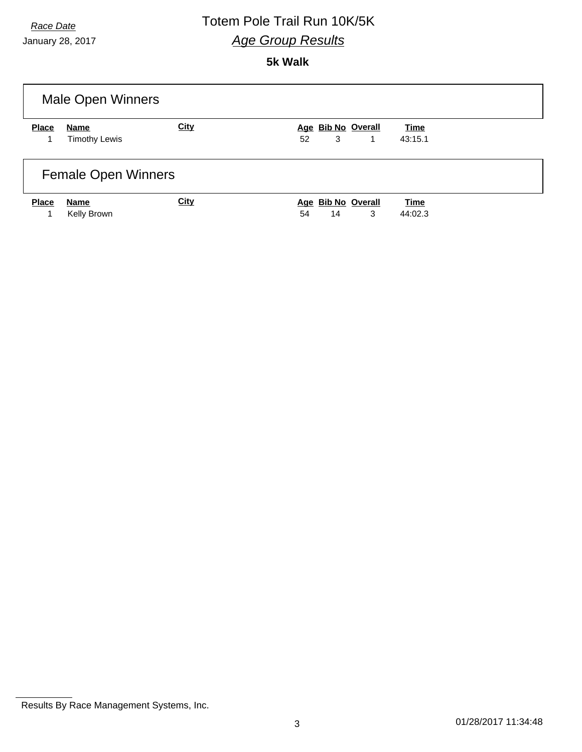January 28, 2017

### **5k Walk**

| Male Open Winners          |                              |             |                                     |                        |  |
|----------------------------|------------------------------|-------------|-------------------------------------|------------------------|--|
| <b>Place</b>               | Name<br><b>Timothy Lewis</b> | City        | Age Bib No Overall<br>52<br>3<br>1  | <b>Time</b><br>43:15.1 |  |
| <b>Female Open Winners</b> |                              |             |                                     |                        |  |
| <b>Place</b><br>1          | Name<br>Kelly Brown          | <b>City</b> | Age Bib No Overall<br>3<br>54<br>14 | <b>Time</b><br>44:02.3 |  |

Results By Race Management Systems, Inc.